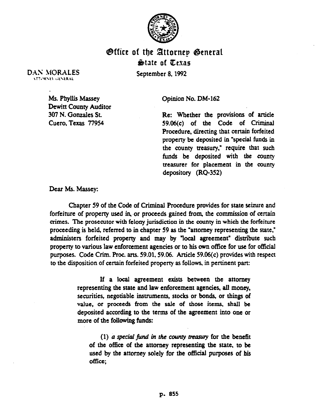

## Office of the Attornep General – &date of Cexas

September 8,1992

DAN MORALES **VETORNEY GENERAL** 

> Ms. Phyllis Massey Dewitt County Auditor 307 N. Gonzales St. Cuero, Texas 77954

Opinion No. DM-162

Re: Whether the provisions of article 59.06(c) of the Code of Criminal Procedure, directing that certain forfeited property be deposited in "special funds in the county treasury," require that such funds be deposited with the county treasurer for placement in the county depository (RQ-352)

Dear Ms. Massey:

Chapter 59 of the Code of Criminal Procedure provides for state seizure and forfeiture of property used in-or proceeds gamed from, the commission of certain crimes. The prosecutor with felony jurisdiction in the county in which the forfeiture proceeding is held, referred to in chapter 59 as the "attorney representing the state, administers forfeited property and may by "local agreement" distribute such property to various law enforcement agencies or to his own office for use for official purposes. Code Crim. Proc. arts. 59.01.59.06. Article 59.06(c) provides with respect to the disposition of certain forfeited property as follows, in pertinent part:

> If a local agreement exists between the attorney representing the state and law enforcement agencies, all money, securities, negotiable instruments, stocks or bonds, or things of value, or proceeds from the sale of those items, shall be deposited according to the terms of the agreement into one or more of the following funds:

 $(1)$  a special fund in the county treasury for the benefit of the office of tbe attorney representing the state, to be used by the attorney solely for the official purposes of his office;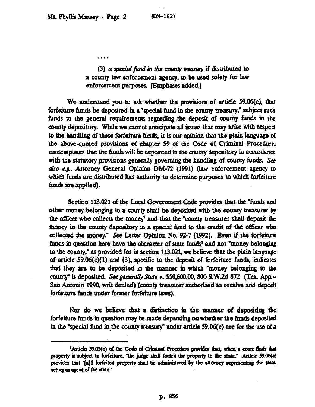$\ddotsc$ 

(3) a special fund in the county treasury if distributed to a county law enforcement agency, to be used solely for law enforcement purposes. [Emphases added.]

We understand you to ask whether the provisions of article 59.06(c), that forfeiture funds be deposited in a "special fund in the county treasury," subject such funds to the general requirements regarding the deposit of county funds in the county depository. While we cannot anticipate all issues that may arise with respect to the handling of these forfeiture fun& it is our opinion that the plain language of the above-quoted provisions of chapter 59 of the Code of Criminal Procedure, contemplates that the funds will be deposited in the county depository in accordance with the statutory provisions generally governing the handling of county funds. See a&o cg., Attorney General Opinion DM-72 (1991) (law enforcement agency to which funds are distributed has authority to determine purposes to which forfeiture funds are applied).

Section 113.021 of the Local Govemment Code provides that the "funds and other money belonging to a county shall be deposited with the county treasurer by the officer who collects the money" and that the "county treasurer shall deposit the money in the county depository in a special fund to the credit of the officer wbo collected the money? See Letter Opinion No. 92-7 (1992). Even if the forfeiture funds in question here have the character of state funds<sup>1</sup> and not "money belonging to the county," as provided for in section 113.021, we believe that the plain language of article 59.06(c)(l) and (3), specific to the deposit of forfeiture funds, indicates that they are to be deposited in the manner in which 'money belonging to the county" is deposited. See generally State v. \$50,600.00, 800 S.W.2d 872 (Tex. App.-San Antonio 1990, writ denied) (county treasurer authorized to receive and deposit forfeiture fuuds under former forfeiture laws).

Nor do we believe that a distinction in the manner *of* depositing the forfeiture funds in question may be made depending on whether the funds deposited in the "special fund in the county treasury" under article  $59.06(c)$  are for the use of a

<sup>&</sup>lt;sup>3</sup>Article 59.05(e) of the Code of Criminal Procedure provides that, when a court finds that property is subject to forfeiture, "the judge shall forfeit the property to the state." Article 59.06(a) provides that "[a]ll forfeited property shall be administered by the attorney representing the state, acting as agent of the state."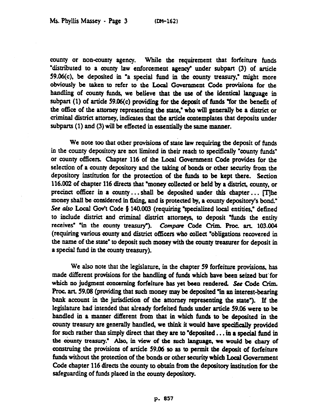county or non-county agency. While the requirement that forfeiture funds "distributed to a county law enforcement agemy" under subpart (3) of article 59.06(c), be deposited in "a special fund in the county treasury," might more obviously be **taken** to **refer** to the Local Government Code provisions for the handling of county funds, we believe that the use of the identical language in subpart (1) of artide 59.06(c) providing for the deposit of fuuds 'for the benefit of the office of the attorney representing the state," who will generally be a district or aiminal district attorney, indicates that the article contemplates that deposits under subparts (1) and (3) will be effected in essentially the same manner.

We note ton that other provisions **of** state law requiring the deposit of funds in the county depository are not limited in their reach to specifically "county funds" or county officers. Chapter 116 of the Local Government Code provides for the selection of a county depository and the taking of bonds or other security from the depository institution for the protection of the funds to he kept there. Section 116.002 of chapter 116 directs that "money collected or held by a district, county, or precinct officer in a county  $\dots$  shall be deposited under this chapter  $\dots$  [T]he money shall be considered in fixing, and is protected by, a county depository's bond." See also Local Gov't Code § 140.003 (requiring "specialized local entities," defined to include district and criminal district attorneys, to deposit "funds the entity receives" "in the county treasury"). *Compare* Code Crim. Proc. art. 103.004 (requiring various county and district officers who collect "obligations recovered in the name of the state' to deposit such money with the county treasurer for deposit in a special fund in the county treasury).

We also note that the legislature, in the chapter 59 forfeiture provisions, has made different provisions for the handling of funds which have been seized but' for which no judgment concerning forfeiture has yet been rendered. See Code Grim. Proc. art. 59.08 (providing that such money may be deposited "in an interest-bearing bank account in the jurisdiction of the attorney representing the state"). If the legislature had intended that already forfeited funds under article 59.06 were to be handled in a manner different from that in which funds to be deposited in the county treasury are generally handled, we think it would have specifically provided for such rather than simply direct that they are to 'deposited.. . in a special fuud in the county treasury." Also, in view of the such language, we would be chary of construing the provisions **of** article 59.M so as to permit the deposit of forfeiture funds without the protection **of** the bonds or other security which Local Government Code chapter 116 directs the county to obtain from the depository institution for the safeguarding of funds placed in the county depository.